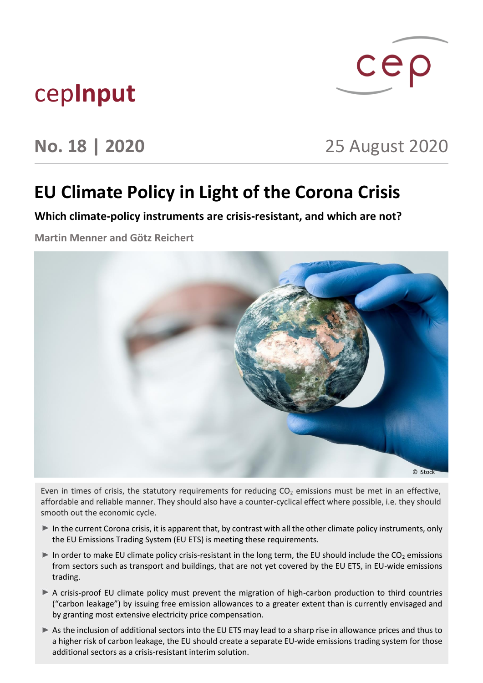## cep**Input**

# $cep$

## **No. 18 | 2020** 25 August 2020

## **EU Climate Policy in Light of the Corona Crisis**

**Which climate-policy instruments are crisis-resistant, and which are not?**

**Martin Menner and Götz Reichert**



Even in times of crisis, the statutory requirements for reducing  $CO<sub>2</sub>$  emissions must be met in an effective, affordable and reliable manner. They should also have a counter-cyclical effect where possible, i.e. they should smooth out the economic cycle.

- In the current Corona crisis, it is apparent that, by contrast with all the other climate policy instruments, only the EU Emissions Trading System (EU ETS) is meeting these requirements.
- In order to make EU climate policy crisis-resistant in the long term, the EU should include the  $CO<sub>2</sub>$  emissions from sectors such as transport and buildings, that are not yet covered by the EU ETS, in EU-wide emissions trading.
- A crisis-proof EU climate policy must prevent the migration of high-carbon production to third countries ("carbon leakage") by issuing free emission allowances to a greater extent than is currently envisaged and by granting most extensive electricity price compensation.
- As the inclusion of additional sectors into the EU ETS may lead to a sharp rise in allowance prices and thus to a higher risk of carbon leakage, the EU should create a separate EU-wide emissions trading system for those additional sectors as a crisis-resistant interim solution.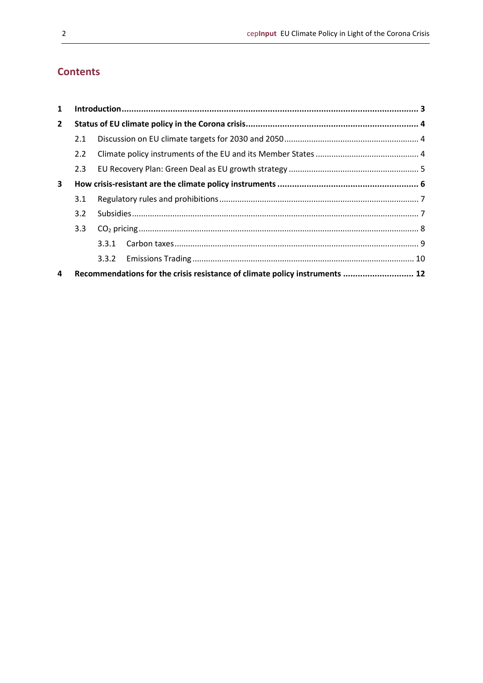#### **Contents**

| $\mathbf{1}$   |               |                                                                             |  |  |  |
|----------------|---------------|-----------------------------------------------------------------------------|--|--|--|
| $\overline{2}$ |               |                                                                             |  |  |  |
|                | 2.1           |                                                                             |  |  |  |
|                | $2.2^{\circ}$ |                                                                             |  |  |  |
|                | 2.3           |                                                                             |  |  |  |
| 3              |               |                                                                             |  |  |  |
|                | 3.1           |                                                                             |  |  |  |
|                | $3.2^{\circ}$ |                                                                             |  |  |  |
|                | 3.3           |                                                                             |  |  |  |
|                |               | 3.3.1                                                                       |  |  |  |
|                |               |                                                                             |  |  |  |
| 4              |               | Recommendations for the crisis resistance of climate policy instruments  12 |  |  |  |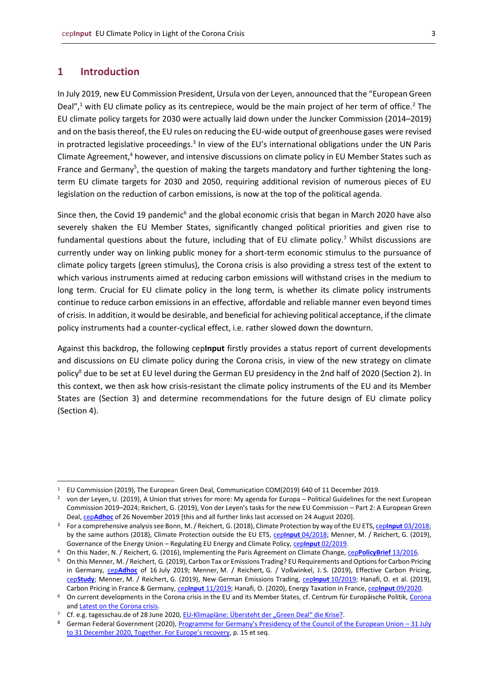#### <span id="page-2-0"></span>**1 Introduction**

In July 2019, new EU Commission President, Ursula von der Leyen, announced that the "European Green Deal",<sup>1</sup> with EU climate policy as its centrepiece, would be the main project of her term of office.<sup>2</sup> The EU climate policy targets for 2030 were actually laid down under the Juncker Commission (2014–2019) and on the basis thereof, the EU rules on reducing the EU-wide output of greenhouse gases were revised in protracted legislative proceedings.<sup>3</sup> In view of the EU's international obligations under the UN Paris Climate Agreement,<sup>4</sup> however, and intensive discussions on climate policy in EU Member States such as France and Germany<sup>5</sup>, the question of making the targets mandatory and further tightening the longterm EU climate targets for 2030 and 2050, requiring additional revision of numerous pieces of EU legislation on the reduction of carbon emissions, is now at the top of the political agenda.

Since then, the Covid 19 pandemic<sup>6</sup> and the global economic crisis that began in March 2020 have also severely shaken the EU Member States, significantly changed political priorities and given rise to fundamental questions about the future, including that of EU climate policy.<sup>7</sup> Whilst discussions are currently under way on linking public money for a short-term economic stimulus to the pursuance of climate policy targets (green stimulus), the Corona crisis is also providing a stress test of the extent to which various instruments aimed at reducing carbon emissions will withstand crises in the medium to long term. Crucial for EU climate policy in the long term, is whether its climate policy instruments continue to reduce carbon emissions in an effective, affordable and reliable manner even beyond times of crisis. In addition, it would be desirable, and beneficial for achieving political acceptance, if the climate policy instruments had a counter-cyclical effect, i.e. rather slowed down the downturn.

Against this backdrop, the following cep**Input** firstly provides a status report of current developments and discussions on EU climate policy during the Corona crisis, in view of the new strategy on climate policy<sup>8</sup> due to be set at EU level during the German EU presidency in the 2nd half of 2020 (Section 2). In this context, we then ask how crisis-resistant the climate policy instruments of the EU and its Member States are (Section 3) and determine recommendations for the future design of EU climate policy (Section 4).

<sup>1</sup> EU Commission (2019), The European Green Deal, Communication COM(2019) 640 of 11 December 2019.

<sup>&</sup>lt;sup>2</sup> von der Leyen, U. (2019), A Union that strives for more: My agenda for Europa – Political Guidelines for the next European Commission 2019–2024; Reichert, G. (2019), Von der Leyen's tasks for the new EU Commission – Part 2: A European Green Deal, cep**[Adhoc](https://www.cep.eu/en/eu-topics/details/cep/arbeitsauftraege-von-der-leyens-an-die-neue-eu-kommission-teil-2-ein-europaeischer-gruener-deal.html)** of 26 November 2019 [this and all further links last accessed on 24 August 2020].

<sup>3</sup> For a comprehensive analysis see Bonn, M. / Reichert, G. (2018), Climate Protection by way of the EU ETS, cep**Input** [03/2018;](https://www.cep.eu/en/eu-topics/details/cep/climate-protection-by-way-of-the-eu-ets.html) by the same authors (2018), Climate Protection outside the EU ETS, cep**Input** [04/2018;](https://www.cep.eu/en/eu-topics/details/cep/climate-protection-outside-the-eu-ets.html) Menner, M. / Reichert, G. (2019), Governance of the Energy Union – Regulating EU Energy and Climate Policy, cep**Input** [02/2019.](https://www.cep.eu/en/eu-topics/details/cep/governance-of-the-energy-union.html)

<sup>4</sup> On this Nader, N. / Reichert, G. (2016), Implementing the Paris Agreement on Climate Change, cep**[PolicyBrief](https://www.cep.eu/en/eu-topics/details/cep/implementing-the-paris-agreement-on-climate-change-communication.html)** 13/2016.

<sup>5</sup> On this Menner, M. / Reichert, G. (2019), Carbon Tax or Emissions Trading? EU Requirements and Options for Carbon Pricing in Germany, cep**[Adhoc](https://www.cep.eu/en/eu-topics/details/cep/co2-steuer-oder-emissionshandel.html)** of 16 July 2019; Menner, M. / Reichert, G. / Voßwinkel, J. S. (2019), Effective Carbon Pricing, cep**[Study](https://www.cep.eu/en/eu-topics/details/cep/wirksame-co2-bepreisung-jetzt-die-weichen-richtig-stellen.html)**; Menner, M. / Reichert, G. (2019), New German Emissions Trading, cep**Input** [10/2019;](https://www.cep.eu/en/eu-topics/details/cep/der-neue-deutsche-emissionshandel.html) Hanafi, O. et al. (2019), Carbon Pricing in France & Germany, cep**Input** [11/2019;](https://www.cep.eu/en/eu-topics/details/cep/carbon-pricing-in-france-germany.html) Hanafi, O. (2020), Energy Taxation in France, cep**Input** [09/2020.](https://www.cep.eu/en/eu-topics/details/cep/energy-taxation-in-france-cepinput.html)

<sup>6</sup> On current developments in the [Corona](https://www.cep.eu/en/eu-topics/corona.html) crisis in the EU and its Member States, cf. Centrum für Europäische Politik, Corona an[d Latest on the Corona crisis.](https://www.cep.eu/en/aktuelle-fakten-und-grafiken-zur-corona-krise.html)

Cf. e.g. tagesschau.de of 28 June 2020[, EU-Klimapläne:](https://www.tagesschau.de/ausland/deutschland-ratspraesidentschaft-101.html) [Übersteht der "Green Deal" die Krise?](https://www.tagesschau.de/ausland/deutschland-ratspraesidentschaft-101.html).

<sup>8</sup> German Federal Government (2020), [Programme for Germany's Presidency of the Council of the European Union –](https://www.eu2020.de/eu2020-en/programm) 31 July to 31 [December 2020, Together.](https://www.eu2020.de/eu2020-en/programm) [For Europe's recovery](https://www.eu2020.de/eu2020-en/programm), p. 15 et seq.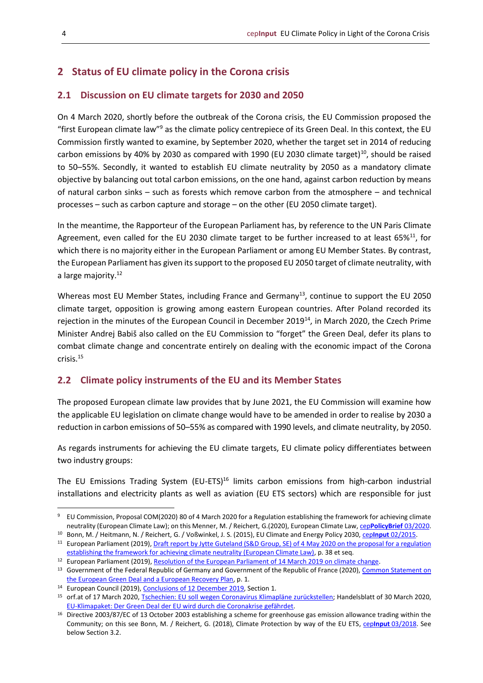### <span id="page-3-0"></span>**2 Status of EU climate policy in the Corona crisis**

#### <span id="page-3-1"></span>**2.1 Discussion on EU climate targets for 2030 and 2050**

On 4 March 2020, shortly before the outbreak of the Corona crisis, the EU Commission proposed the "first European climate law"<sup>9</sup> as the climate policy centrepiece of its Green Deal. In this context, the EU Commission firstly wanted to examine, by September 2020, whether the target set in 2014 of reducing carbon emissions by 40% by 2030 as compared with 1990 (EU 2030 climate target) $^{10}$ , should be raised to 50–55%. Secondly, it wanted to establish EU climate neutrality by 2050 as a mandatory climate objective by balancing out total carbon emissions, on the one hand, against carbon reduction by means of natural carbon sinks – such as forests which remove carbon from the atmosphere – and technical processes – such as carbon capture and storage – on the other (EU 2050 climate target).

In the meantime, the Rapporteur of the European Parliament has, by reference to the UN Paris Climate Agreement, even called for the EU 2030 climate target to be further increased to at least  $65\%^{11}$ , for which there is no majority either in the European Parliament or among EU Member States. By contrast, the European Parliament has given its support to the proposed EU 2050 target of climate neutrality, with a large majority.<sup>12</sup>

Whereas most EU Member States, including France and Germany<sup>13</sup>, continue to support the EU 2050 climate target, opposition is growing among eastern European countries. After Poland recorded its rejection in the minutes of the European Council in December 2019<sup>14</sup>, in March 2020, the Czech Prime Minister Andrej Babiš also called on the EU Commission to "forget" the Green Deal, defer its plans to combat climate change and concentrate entirely on dealing with the economic impact of the Corona crisis.<sup>15</sup>

#### <span id="page-3-2"></span>**2.2 Climate policy instruments of the EU and its Member States**

The proposed European climate law provides that by June 2021, the EU Commission will examine how the applicable EU legislation on climate change would have to be amended in order to realise by 2030 a reduction in carbon emissions of 50–55% as compared with 1990 levels, and climate neutrality, by 2050.

As regards instruments for achieving the EU climate targets, EU climate policy differentiates between two industry groups:

The EU Emissions Trading System (EU-ETS)<sup>16</sup> limits carbon emissions from high-carbon industrial installations and electricity plants as well as aviation (EU ETS sectors) which are responsible for just

<sup>9</sup> EU Commission, Proposal COM(2020) 80 of 4 March 2020 for a Regulation establishing the framework for achieving climate neutrality (European Climate Law); on this Menner, M. / Reichert, G.(2020), European Climate Law, cep**[PolicyBrief](https://www.cep.eu/en/eu-topics/details/cep/european-climate-law-ceppolicybrief-to-com2020-80.html)** 03/2020.

<sup>10</sup> Bonn, M. / Heitmann, N. / Reichert, G. / Voßwinkel, J. S. (2015), EU Climate and Energy Policy 2030, cep**Input** [02/2015.](https://www.cep.eu/en/eu-topics/details/cep/climate-and-energy-targets-2030.html) <sup>11</sup> European Parliament (2019)[, Draft report by Jytte Guteland \(S&D Group, SE\) of 4](https://www.europarl.europa.eu/doceo/document/ENVI-PR-648563_EN.html) May 2020 on the proposal for a regulation [establishing the framework for achieving climate neutrality \(European Climate Law\),](https://www.europarl.europa.eu/doceo/document/ENVI-PR-648563_EN.html) p. 38 et seq.

<sup>&</sup>lt;sup>12</sup> European Parliament (2019)[, Resolution of the European Parliament of 14 March 2019 on climate change.](https://www.europarl.europa.eu/doceo/document/TA-8-2019-0217_EN.html)

<sup>&</sup>lt;sup>13</sup> Government of the Federal Republic of Germany and Government of the Republic of France (2020), Common Statement on [the European Green Deal and a European Recovery Plan,](https://www.bmu.de/en/download/common-statement-on-the-european-green-deal-and-a-european-recovery-plan-1/) p. 1.

<sup>&</sup>lt;sup>14</sup> European Council (2019)[, Conclusions of 12](https://www.consilium.europa.eu/media/41768/12-euco-final-conclusions-en.pdf) December 2019, Section 1.

<sup>15</sup> orf.at of 17 March 2020[, Tschechien:](https://orf.at/stories/3158162/) [EU soll wegen Coronavirus Klimapläne zurückstellen;](https://orf.at/stories/3158162/) Handelsblatt of 30 March 2020, [EU-Klimapaket:](https://www.handelsblatt.com/politik/international/eu-klimapaket-der-green-deal-der-eu-wird-durch-die-coronakrise-gefaehrdet/25695742.html?ticket=ST-7227603-6JJfMNsy1cJX9HcbgMPU-ap3) [Der Green Deal der EU wird durch die Coronakrise gefährdet.](https://www.handelsblatt.com/politik/international/eu-klimapaket-der-green-deal-der-eu-wird-durch-die-coronakrise-gefaehrdet/25695742.html?ticket=ST-7227603-6JJfMNsy1cJX9HcbgMPU-ap3)

<sup>16</sup> Directive 2003/87/EC of 13 October 2003 establishing a scheme for greenhouse gas emission allowance trading within the Community; on this see Bonn, M. / Reichert, G. (2018), Climate Protection by way of the EU ETS, cep**Input** [03/2018.](https://www.cep.eu/en/eu-topics/details/cep/climate-protection-by-way-of-the-eu-ets.html) See below Section 3.2.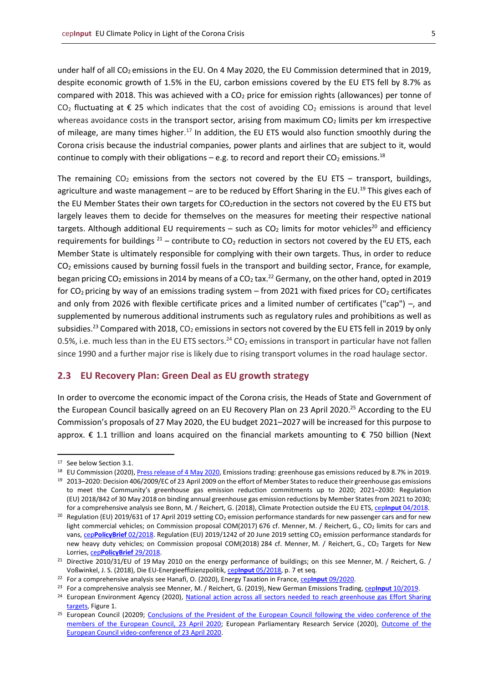under half of all CO<sub>2</sub> emissions in the EU. On 4 May 2020, the EU Commission determined that in 2019, despite economic growth of 1.5% in the EU, carbon emissions covered by the EU ETS fell by 8.7% as compared with 2018. This was achieved with a  $CO<sub>2</sub>$  price for emission rights (allowances) per tonne of CO<sub>2</sub> fluctuating at  $\epsilon$  25 which indicates that the cost of avoiding CO<sub>2</sub> emissions is around that level whereas avoidance costs in the transport sector, arising from maximum  $CO<sub>2</sub>$  limits per km irrespective of mileage, are many times higher.<sup>17</sup> In addition, the EU ETS would also function smoothly during the Corona crisis because the industrial companies, power plants and airlines that are subject to it, would continue to comply with their obligations – e.g. to record and report their  $CO<sub>2</sub>$  emissions.<sup>18</sup>

The remaining  $CO<sub>2</sub>$  emissions from the sectors not covered by the EU ETS – transport, buildings, agriculture and waste management – are to be reduced by Effort Sharing in the EU.<sup>19</sup> This gives each of the EU Member States their own targets for CO<sub>2</sub>reduction in the sectors not covered by the EU ETS but largely leaves them to decide for themselves on the measures for meeting their respective national targets. Although additional EU requirements – such as  $CO<sub>2</sub>$  limits for motor vehicles<sup>20</sup> and efficiency requirements for buildings  $^{21}$  – contribute to CO<sub>2</sub> reduction in sectors not covered by the EU ETS, each Member State is ultimately responsible for complying with their own targets. Thus, in order to reduce  $CO<sub>2</sub>$  emissions caused by burning fossil fuels in the transport and building sector, France, for example, began pricing CO<sub>2</sub> emissions in 2014 by means of a CO<sub>2</sub> tax.<sup>22</sup> Germany, on the other hand, opted in 2019 for  $CO<sub>2</sub>$  pricing by way of an emissions trading system – from 2021 with fixed prices for  $CO<sub>2</sub>$  certificates and only from 2026 with flexible certificate prices and a limited number of certificates ("cap") –, and supplemented by numerous additional instruments such as regulatory rules and prohibitions as well as subsidies.<sup>23</sup> Compared with 2018,  $CO<sub>2</sub>$  emissions in sectors not covered by the EU ETS fell in 2019 by only 0.5%, i.e. much less than in the EU ETS sectors.<sup>24</sup> CO<sub>2</sub> emissions in transport in particular have not fallen since 1990 and a further major rise is likely due to rising transport volumes in the road haulage sector.

#### <span id="page-4-0"></span>**2.3 EU Recovery Plan: Green Deal as EU growth strategy**

In order to overcome the economic impact of the Corona crisis, the Heads of State and Government of the European Council basically agreed on an EU Recovery Plan on 23 April 2020.<sup>25</sup> According to the EU Commission's proposals of 27 May 2020, the EU budget 2021–2027 will be increased for this purpose to approx. € 1.1 trillion and loans acquired on the financial markets amounting to € 750 billion (Next

<sup>&</sup>lt;sup>17</sup> See below Section 3.1.

<sup>&</sup>lt;sup>18</sup> EU Commission (2020), *Press release of 4 May 2020*, Emissions trading: greenhouse gas emissions reduced by 8.7% in 2019.

<sup>19</sup> 2013–2020: Decision 406/2009/EC of 23 April 2009 on the effort of Member States to reduce their greenhouse gas emissions to meet the Community's greenhouse gas emission reduction commitments up to 2020; 2021–2030: Regulation (EU) 2018/842 of 30 May 2018 on binding annual greenhouse gas emission reductions by Member States from 2021 to 2030; for a comprehensive analysis see Bonn, M. / Reichert, G. (2018), Climate Protection outside the EU ETS, cep**Input** [04/2018.](https://www.cep.eu/en/eu-topics/details/cep/climate-protection-outside-the-eu-ets.html)

<sup>&</sup>lt;sup>20</sup> Regulation (EU) 2019/631 of 17 April 2019 setting CO<sub>2</sub> emission performance standards for new passenger cars and for new light commercial vehicles; on Commission proposal COM(2017) 676 cf. Menner, M. / Reichert, G., CO<sub>2</sub> limits for cars and vans, cep[PolicyBrief](https://www.cep.eu/en/eu-topics/details/cep/co2-grenzwerte-fuer-pkw-und-leichte-nutzfahrzeuge-verordnung.html) 02/2018. Regulation (EU) 2019/1242 of 20 June 2019 setting CO<sub>2</sub> emission performance standards for new heavy duty vehicles; on Commission proposal COM(2018) 284 cf. Menner, M. / Reichert, G., CO<sub>2</sub> Targets for New Lorries, cep**[PolicyBrief](https://www.cep.eu/en/eu-topics/details/cep/co2-targets-for-new-lorries-regulation.html)** 29/2018.

<sup>&</sup>lt;sup>21</sup> Directive 2010/31/EU of 19 May 2010 on the energy performance of buildings; on this see Menner, M. / Reichert, G. / Voßwinkel, J. S. (2018), Die EU-Energieeffizienzpolitik, cep**Input** [05/2018,](https://www.cep.eu/en/eu-topics/details/cep/die-eu-energieeffizienzpolitik.html) p. 7 et seq.

<sup>22</sup> For a comprehensive analysis see Hanafi, O. (2020), Energy Taxation in France, cep**Input** [09/2020.](https://www.cep.eu/en/eu-topics/details/cep/energy-taxation-in-france-cepinput.html)

<sup>&</sup>lt;sup>23</sup> For a comprehensive analysis see Menner, M. / Reichert, G. (2019), New German Emissions Trading, ceplnput [10/2019.](https://www.cep.eu/en/eu-topics/details/cep/der-neue-deutsche-emissionshandel.html)

<sup>&</sup>lt;sup>24</sup> European Environment Agency (2020), National action across all sectors needed to reach greenhouse gas Effort Sharing [targets,](https://www.eea.europa.eu/themes/climate/trends-and-projections-in-europe/national-action-across-all-sectors) Figure 1.

<sup>&</sup>lt;sup>25</sup> European Council (20209; [Conclusions of the President of the European Council](https://www.consilium.europa.eu/en/press/press-releases/2020/04/23/conclusions-by-president-charles-michel-following-the-video-conference-with-members-of-the-european-council-on-23-april-2020/) following the video conference of the [members of the European Council, 23 April 2020;](https://www.consilium.europa.eu/en/press/press-releases/2020/04/23/conclusions-by-president-charles-michel-following-the-video-conference-with-members-of-the-european-council-on-23-april-2020/) European Parliamentary Research Service (2020), Outcome of the [European Council video-conference of 23](https://epthinktank.eu/2020/04/30/outcome-of-the-european-council-video-conference-of-23-april-2020/) April 2020.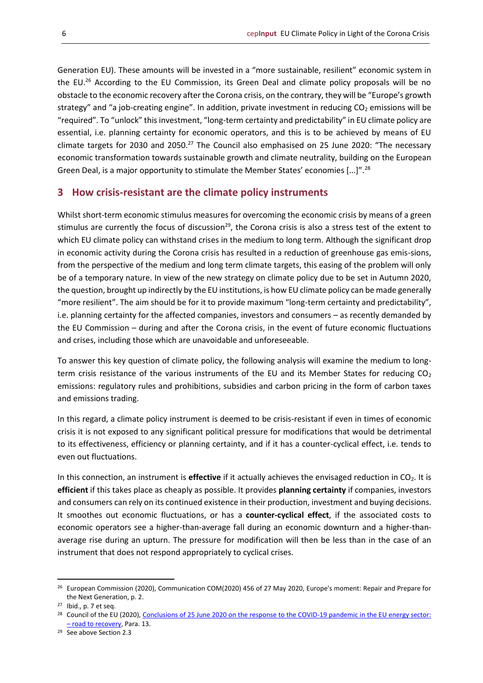Generation EU). These amounts will be invested in a "more sustainable, resilient" economic system in the EU.<sup>26</sup> According to the EU Commission, its Green Deal and climate policy proposals will be no obstacle to the economic recovery after the Corona crisis, on the contrary, they will be "Europe's growth strategy" and "a job-creating engine". In addition, private investment in reducing CO<sub>2</sub> emissions will be "required". To "unlock" this investment, "long-term certainty and predictability" in EU climate policy are essential, i.e. planning certainty for economic operators, and this is to be achieved by means of EU climate targets for 2030 and 2050.<sup>27</sup> The Council also emphasised on 25 June 2020: "The necessary economic transformation towards sustainable growth and climate neutrality, building on the European Green Deal, is a major opportunity to stimulate the Member States' economies [...]".<sup>28</sup>

#### <span id="page-5-0"></span>**3 How crisis-resistant are the climate policy instruments**

Whilst short-term economic stimulus measures for overcoming the economic crisis by means of a green stimulus are currently the focus of discussion<sup>29</sup>, the Corona crisis is also a stress test of the extent to which EU climate policy can withstand crises in the medium to long term. Although the significant drop in economic activity during the Corona crisis has resulted in a reduction of greenhouse gas emis-sions, from the perspective of the medium and long term climate targets, this easing of the problem will only be of a temporary nature. In view of the new strategy on climate policy due to be set in Autumn 2020, the question, brought up indirectly by the EU institutions, is how EU climate policy can be made generally "more resilient". The aim should be for it to provide maximum "long-term certainty and predictability", i.e. planning certainty for the affected companies, investors and consumers – as recently demanded by the EU Commission – during and after the Corona crisis, in the event of future economic fluctuations and crises, including those which are unavoidable and unforeseeable.

To answer this key question of climate policy, the following analysis will examine the medium to longterm crisis resistance of the various instruments of the EU and its Member States for reducing  $CO<sub>2</sub>$ emissions: regulatory rules and prohibitions, subsidies and carbon pricing in the form of carbon taxes and emissions trading.

In this regard, a climate policy instrument is deemed to be crisis-resistant if even in times of economic crisis it is not exposed to any significant political pressure for modifications that would be detrimental to its effectiveness, efficiency or planning certainty, and if it has a counter-cyclical effect, i.e. tends to even out fluctuations.

In this connection, an instrument is **effective** if it actually achieves the envisaged reduction in CO<sub>2</sub>. It is **efficient** if this takes place as cheaply as possible. It provides **planning certainty** if companies, investors and consumers can rely on its continued existence in their production, investment and buying decisions. It smoothes out economic fluctuations, or has a **counter-cyclical effect**, if the associated costs to economic operators see a higher-than-average fall during an economic downturn and a higher-thanaverage rise during an upturn. The pressure for modification will then be less than in the case of an instrument that does not respond appropriately to cyclical crises.

<sup>&</sup>lt;sup>26</sup> European Commission (2020), Communication COM(2020) 456 of 27 May 2020, Europe's moment: Repair and Prepare for the Next Generation, p. 2.

<sup>27</sup> Ibid., p. 7 et seq.

<sup>&</sup>lt;sup>28</sup> Council of the EU (2020), Conclusions of 25 June 2020 on the response to the COVID-19 pandemic in the EU energy sector: – [road to recovery,](https://data.consilium.europa.eu/doc/document/ST-9133-2020-INIT/en/pdf) Para. 13.

<sup>29</sup> See above Section 2.3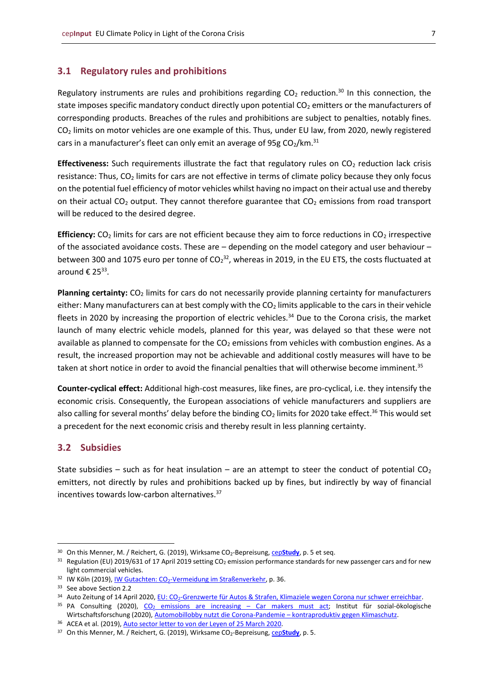#### <span id="page-6-0"></span>**3.1 Regulatory rules and prohibitions**

Regulatory instruments are rules and prohibitions regarding  $CO<sub>2</sub>$  reduction.<sup>30</sup> In this connection, the state imposes specific mandatory conduct directly upon potential  $CO<sub>2</sub>$  emitters or the manufacturers of corresponding products. Breaches of the rules and prohibitions are subject to penalties, notably fines. CO<sup>2</sup> limits on motor vehicles are one example of this. Thus, under EU law, from 2020, newly registered cars in a manufacturer's fleet can only emit an average of 95g  $CO<sub>2</sub>/km.<sup>31</sup>$ 

**Effectiveness:** Such requirements illustrate the fact that regulatory rules on  $CO<sub>2</sub>$  reduction lack crisis resistance: Thus, CO<sub>2</sub> limits for cars are not effective in terms of climate policy because they only focus on the potential fuel efficiency of motor vehicles whilst having no impact on their actual use and thereby on their actual  $CO<sub>2</sub>$  output. They cannot therefore guarantee that  $CO<sub>2</sub>$  emissions from road transport will be reduced to the desired degree.

**Efficiency:** CO<sub>2</sub> limits for cars are not efficient because they aim to force reductions in CO<sub>2</sub> irrespective of the associated avoidance costs. These are – depending on the model category and user behaviour – between 300 and 1075 euro per tonne of CO<sub>2</sub><sup>32</sup>, whereas in 2019, in the EU ETS, the costs fluctuated at around € 25 $33$ .

Planning certainty: CO<sub>2</sub> limits for cars do not necessarily provide planning certainty for manufacturers either: Many manufacturers can at best comply with the  $CO<sub>2</sub>$  limits applicable to the cars in their vehicle fleets in 2020 by increasing the proportion of electric vehicles.<sup>34</sup> Due to the Corona crisis, the market launch of many electric vehicle models, planned for this year, was delayed so that these were not available as planned to compensate for the  $CO<sub>2</sub>$  emissions from vehicles with combustion engines. As a result, the increased proportion may not be achievable and additional costly measures will have to be taken at short notice in order to avoid the financial penalties that will otherwise become imminent.<sup>35</sup>

**Counter-cyclical effect:** Additional high-cost measures, like fines, are pro-cyclical, i.e. they intensify the economic crisis. Consequently, the European associations of vehicle manufacturers and suppliers are also calling for several months' delay before the binding  $CO<sub>2</sub>$  limits for 2020 take effect.<sup>36</sup> This would set a precedent for the next economic crisis and thereby result in less planning certainty.

#### <span id="page-6-1"></span>**3.2 Subsidies**

State subsidies – such as for heat insulation – are an attempt to steer the conduct of potential  $CO<sub>2</sub>$ emitters, not directly by rules and prohibitions backed up by fines, but indirectly by way of financial incentives towards low-carbon alternatives.<sup>37</sup>

<sup>&</sup>lt;sup>30</sup> On this Menner, M. / Reichert, G. (2019), Wirksame CO<sub>2</sub>-Bepreisung, cep**[Study](https://www.cep.eu/en/eu-topics/details/cep/wirksame-co2-bepreisung-jetzt-die-weichen-richtig-stellen.html)**, p. 5 et seq.

 $31$  Regulation (EU) 2019/631 of 17 April 2019 setting CO<sub>2</sub> emission performance standards for new passenger cars and for new light commercial vehicles.

<sup>&</sup>lt;sup>32</sup> IW Köln (2019), <u>IW Gutachten: CO<sub>2</sub>-Vermeidung</u> im Straßenverkehr, p. 36.

<sup>&</sup>lt;sup>33</sup> See above Section 2.2

<sup>34</sup> Auto Zeitung of 14 April 2020, [EU:](https://www.autozeitung.de/co2-grenzwerte-192003.html) CO<sub>2</sub>[-Grenzwerte für Autos & Strafen, Klimaziele wegen Corona nur schwer erreichbar.](https://www.autozeitung.de/co2-grenzwerte-192003.html)

<sup>&</sup>lt;sup>35</sup> PA Consulting (2020), CO<sub>2</sub> [emissions are increasing](https://www2.paconsulting.com/rs/526-HZE-833/images/PA-CO2-Report-2019_2020.pdf) – Car makers must act; Institut für sozial-ökologische Wirtschaftsforschung (2020)[, Automobillobby nutzt die Corona-Pandemie](https://www.isw-muenchen.de/2020/04/automobillobby-nutzt-die-corona-pandemie-kontraproduktiv-gegen-klimaschutz/) – kontraproduktiv gegen Klimaschutz.

<sup>36</sup> ACEA et al. (2019)[, Auto sector letter to von der Leyen of 25](https://www.acea.be/uploads/news_documents/COVID19_auto_sector_letter_Von_der_Leyen.pdf) March 2020.

<sup>&</sup>lt;sup>37</sup> On this Menner, M. / Reichert, G. (2019), Wirksame CO<sub>2</sub>-Bepreisung, cep[Study](https://www.cep.eu/en/eu-topics/details/cep/wirksame-co2-bepreisung-jetzt-die-weichen-richtig-stellen.html), p. 5.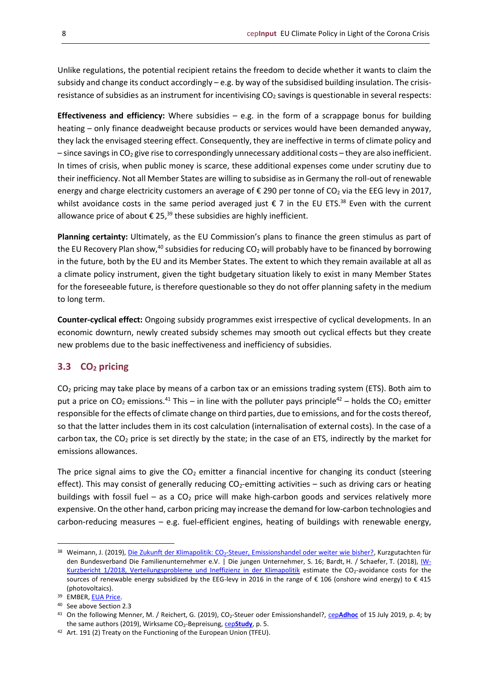Unlike regulations, the potential recipient retains the freedom to decide whether it wants to claim the subsidy and change its conduct accordingly – e.g. by way of the subsidised building insulation. The crisisresistance of subsidies as an instrument for incentivising CO<sub>2</sub> savings is questionable in several respects:

**Effectiveness and efficiency:** Where subsidies – e.g. in the form of a scrappage bonus for building heating – only finance deadweight because products or services would have been demanded anyway, they lack the envisaged steering effect. Consequently, they are ineffective in terms of climate policy and  $-$  since savings in CO<sub>2</sub> give rise to correspondingly unnecessary additional costs – they are also inefficient. In times of crisis, when public money is scarce, these additional expenses come under scrutiny due to their inefficiency. Not all Member States are willing to subsidise as in Germany the roll-out of renewable energy and charge electricity customers an average of  $\epsilon$  290 per tonne of CO<sub>2</sub> via the EEG levy in 2017, whilst avoidance costs in the same period averaged just  $\epsilon$  7 in the EU ETS.<sup>38</sup> Even with the current allowance price of about  $\epsilon$  25,<sup>39</sup> these subsidies are highly inefficient.

**Planning certainty:** Ultimately, as the EU Commission's plans to finance the green stimulus as part of the EU Recovery Plan show,<sup>40</sup> subsidies for reducing  $CO<sub>2</sub>$  will probably have to be financed by borrowing in the future, both by the EU and its Member States. The extent to which they remain available at all as a climate policy instrument, given the tight budgetary situation likely to exist in many Member States for the foreseeable future, is therefore questionable so they do not offer planning safety in the medium to long term.

**Counter-cyclical effect:** Ongoing subsidy programmes exist irrespective of cyclical developments. In an economic downturn, newly created subsidy schemes may smooth out cyclical effects but they create new problems due to the basic ineffectiveness and inefficiency of subsidies.

#### <span id="page-7-0"></span>**3.3 CO<sup>2</sup> pricing**

 $CO<sub>2</sub>$  pricing may take place by means of a carbon tax or an emissions trading system (ETS). Both aim to put a price on CO<sub>2</sub> emissions.<sup>41</sup> This – in line with the polluter pays principle<sup>42</sup> – holds the CO<sub>2</sub> emitter responsible for the effects of climate change on third parties, due to emissions, and for the costs thereof, so that the latter includes them in its cost calculation (internalisation of external costs). In the case of a carbon tax, the  $CO<sub>2</sub>$  price is set directly by the state; in the case of an ETS, indirectly by the market for emissions allowances.

The price signal aims to give the  $CO<sub>2</sub>$  emitter a financial incentive for changing its conduct (steering effect). This may consist of generally reducing  $CO<sub>2</sub>$ -emitting activities – such as driving cars or heating buildings with fossil fuel – as a  $CO<sub>2</sub>$  price will make high-carbon goods and services relatively more expensive. On the other hand, carbon pricing may increase the demand for low-carbon technologies and carbon-reducing measures – e.g. fuel-efficient engines, heating of buildings with renewable energy,

<sup>38</sup> Weimann, J. (2019), Die Zukunft der Klimapolitik: CO<sub>2</sub>[-Steuer, Emissionshandel oder weiter wie bisher?,](https://www.familienunternehmer.eu/fileadmin/familienunternehmer/positionen/energiepolitik/dateien/famu_Gutachten_Klimapolitik.pdf) Kurzgutachten für den Bundesverband Die Familienunternehmer e.V. | Die jungen Unternehmer, S. 16; Bardt, H. / Schaefer, T. (2018), [IW-](https://www.iwkoeln.de/fileadmin/user_upload/Studien/Kurzberichte/PDF/2018/IW-Kurzbericht_1_2018_Verteilungsprobleme_und_Ineffizienz_in_der_Klimapolitik.pdf)[Kurzbericht 1/2018, Verteilungsprobleme und Ineffizienz in der Klimapolitik](https://www.iwkoeln.de/fileadmin/user_upload/Studien/Kurzberichte/PDF/2018/IW-Kurzbericht_1_2018_Verteilungsprobleme_und_Ineffizienz_in_der_Klimapolitik.pdf) estimate the CO<sub>2</sub>-avoidance costs for the sources of renewable energy subsidized by the EEG-levy in 2016 in the range of € 106 (onshore wind energy) to € 415 (photovoltaics).

<sup>39</sup> EMBER, [EUA Price.](https://ember-climate.org/carbon-price-viewer/)

<sup>40</sup> See above Section 2.3

<sup>41</sup> On the following Menner, M. / Reichert, G. (2019), CO2-Steuer oder Emissionshandel?, cep**[Adhoc](https://www.cep.eu/en/eu-topics/details/cep/co2-steuer-oder-emissionshandel.html)** of 15 July 2019, p. 4; by the same authors (2019), Wirksame CO<sub>2</sub>-Bepreisung, cep**[Study](https://www.cep.eu/en/eu-topics/details/cep/wirksame-co2-bepreisung-jetzt-die-weichen-richtig-stellen.html)**, p. 5.

<sup>42</sup> Art. 191 (2) Treaty on the Functioning of the European Union (TFEU).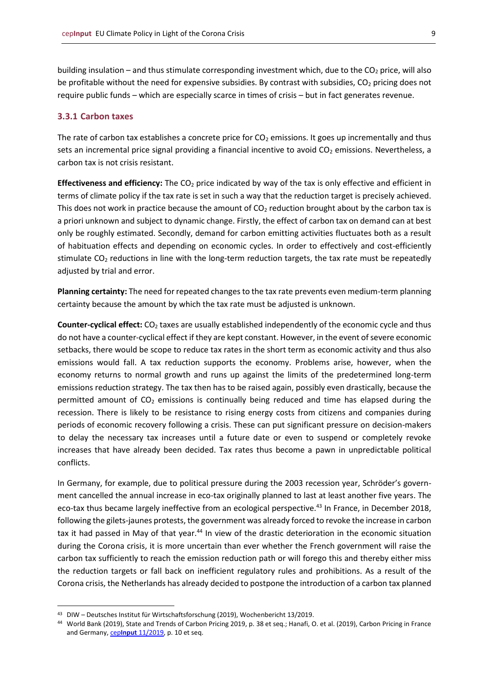building insulation – and thus stimulate corresponding investment which, due to the  $CO<sub>2</sub>$  price, will also be profitable without the need for expensive subsidies. By contrast with subsidies,  $CO<sub>2</sub>$  pricing does not require public funds – which are especially scarce in times of crisis – but in fact generates revenue.

#### <span id="page-8-0"></span>**3.3.1 Carbon taxes**

The rate of carbon tax establishes a concrete price for  $CO<sub>2</sub>$  emissions. It goes up incrementally and thus sets an incremental price signal providing a financial incentive to avoid  $CO<sub>2</sub>$  emissions. Nevertheless, a carbon tax is not crisis resistant.

**Effectiveness and efficiency:** The CO<sup>2</sup> price indicated by way of the tax is only effective and efficient in terms of climate policy if the tax rate is set in such a way that the reduction target is precisely achieved. This does not work in practice because the amount of  $CO<sub>2</sub>$  reduction brought about by the carbon tax is a priori unknown and subject to dynamic change. Firstly, the effect of carbon tax on demand can at best only be roughly estimated. Secondly, demand for carbon emitting activities fluctuates both as a result of habituation effects and depending on economic cycles. In order to effectively and cost-efficiently stimulate CO<sub>2</sub> reductions in line with the long-term reduction targets, the tax rate must be repeatedly adjusted by trial and error.

**Planning certainty:** The need for repeated changes to the tax rate prevents even medium-term planning certainty because the amount by which the tax rate must be adjusted is unknown.

**Counter-cyclical effect:** CO<sub>2</sub> taxes are usually established independently of the economic cycle and thus do not have a counter-cyclical effect if they are kept constant. However, in the event of severe economic setbacks, there would be scope to reduce tax rates in the short term as economic activity and thus also emissions would fall. A tax reduction supports the economy. Problems arise, however, when the economy returns to normal growth and runs up against the limits of the predetermined long-term emissions reduction strategy. The tax then has to be raised again, possibly even drastically, because the permitted amount of  $CO<sub>2</sub>$  emissions is continually being reduced and time has elapsed during the recession. There is likely to be resistance to rising energy costs from citizens and companies during periods of economic recovery following a crisis. These can put significant pressure on decision-makers to delay the necessary tax increases until a future date or even to suspend or completely revoke increases that have already been decided. Tax rates thus become a pawn in unpredictable political conflicts.

In Germany, for example, due to political pressure during the 2003 recession year, Schröder's government cancelled the annual increase in eco-tax originally planned to last at least another five years. The eco-tax thus became largely ineffective from an ecological perspective.<sup>43</sup> In France, in December 2018, following the gilets-jaunes protests, the government was already forced to revoke the increase in carbon tax it had passed in May of that year.<sup>44</sup> In view of the drastic deterioration in the economic situation during the Corona crisis, it is more uncertain than ever whether the French government will raise the carbon tax sufficiently to reach the emission reduction path or will forego this and thereby either miss the reduction targets or fall back on inefficient regulatory rules and prohibitions. As a result of the Corona crisis, the Netherlands has already decided to postpone the introduction of a carbon tax planned

<sup>43</sup> DIW – Deutsches Institut für Wirtschaftsforschung (2019), Wochenbericht 13/2019.

<sup>44</sup> World Bank (2019), State and Trends of Carbon Pricing 2019, p. 38 et seq.; Hanafi, O. et al. (2019), Carbon Pricing in France and Germany, cep**Input** [11/2019,](https://www.cep.eu/en/eu-topics/details/cep/carbon-pricing-in-france-germany.html) p. 10 et seq.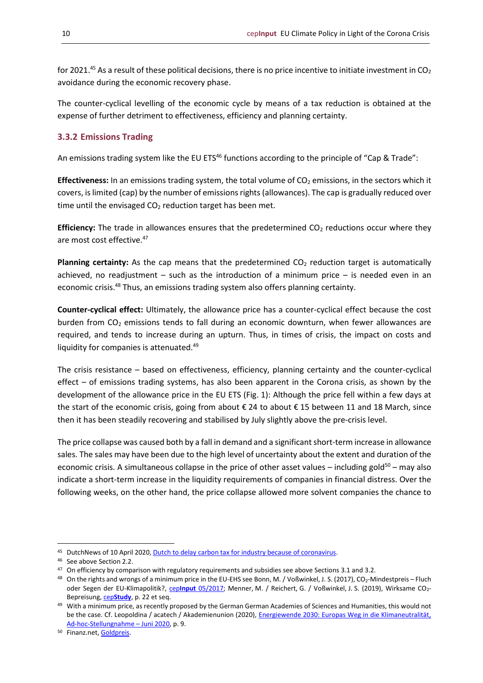for 2021.<sup>45</sup> As a result of these political decisions, there is no price incentive to initiate investment in CO<sub>2</sub> avoidance during the economic recovery phase.

The counter-cyclical levelling of the economic cycle by means of a tax reduction is obtained at the expense of further detriment to effectiveness, efficiency and planning certainty.

#### <span id="page-9-0"></span>**3.3.2 Emissions Trading**

An emissions trading system like the EU ETS<sup>46</sup> functions according to the principle of "Cap & Trade":

**Effectiveness:** In an emissions trading system, the total volume of CO<sub>2</sub> emissions, in the sectors which it covers, is limited (cap) by the number of emissions rights (allowances). The cap is gradually reduced over time until the envisaged  $CO<sub>2</sub>$  reduction target has been met.

**Efficiency:** The trade in allowances ensures that the predetermined CO<sub>2</sub> reductions occur where they are most cost effective.<sup>47</sup>

Planning certainty: As the cap means that the predetermined CO<sub>2</sub> reduction target is automatically achieved, no readjustment  $-$  such as the introduction of a minimum price  $-$  is needed even in an economic crisis.<sup>48</sup> Thus, an emissions trading system also offers planning certainty.

**Counter-cyclical effect:** Ultimately, the allowance price has a counter-cyclical effect because the cost burden from  $CO<sub>2</sub>$  emissions tends to fall during an economic downturn, when fewer allowances are required, and tends to increase during an upturn. Thus, in times of crisis, the impact on costs and liquidity for companies is attenuated.<sup>49</sup>

The crisis resistance – based on effectiveness, efficiency, planning certainty and the counter-cyclical effect – of emissions trading systems, has also been apparent in the Corona crisis, as shown by the development of the allowance price in the EU ETS (Fig. 1): Although the price fell within a few days at the start of the economic crisis, going from about € 24 to about € 15 between 11 and 18 March, since then it has been steadily recovering and stabilised by July slightly above the pre-crisis level.

The price collapse was caused both by a fall in demand and a significant short-term increase in allowance sales. The sales may have been due to the high level of uncertainty about the extent and duration of the economic crisis. A simultaneous collapse in the price of other asset values – including gold $50 -$  may also indicate a short-term increase in the liquidity requirements of companies in financial distress. Over the following weeks, on the other hand, the price collapse allowed more solvent companies the chance to

<sup>45</sup> DutchNews of 10 April 2020, [Dutch to delay carbon tax for industry because of coronavirus.](https://www.dutchnews.nl/news/2020/04/dutch-to-delay-carbon-tax-for-industry-because-of-coronavirus-fd/)

<sup>&</sup>lt;sup>46</sup> See above Section 2.2.

<sup>&</sup>lt;sup>47</sup> On efficiency by comparison with regulatory requirements and subsidies see above Sections 3.1 and 3.2.

<sup>48</sup> On the rights and wrongs of a minimum price in the EU-EHS see Bonn, M. / Voßwinkel, J. S. (2017), CO<sub>2</sub>-Mindestpreis – Fluch oder Segen der EU-Klimapolitik?, cep**Input** [05/2017;](https://www.cep.eu/en/eu-topics/details/cep/co2-mindestpreis.html) Menner, M. / Reichert, G. / Voßwinkel, J. S. (2019), Wirksame CO2- Bepreisung, cep**[Study](https://www.cep.eu/en/eu-topics/details/cep/wirksame-co2-bepreisung-jetzt-die-weichen-richtig-stellen.html)**, p. 22 et seq.

<sup>&</sup>lt;sup>49</sup> With a minimum price, as recently proposed by the German German Academies of Sciences and Humanities, this would not be the case. Cf. Leopoldina / acatech / Akademienunion (2020), [Energiewende 2030:](https://www.acatech.de/wp-content/uploads/2020/06/Stellungnahme-Energiewende.pdf) [Europas Weg in die Klimaneutralität,](https://www.acatech.de/wp-content/uploads/2020/06/Stellungnahme-Energiewende.pdf)  [Ad-hoc-Stellungnahme](https://www.acatech.de/wp-content/uploads/2020/06/Stellungnahme-Energiewende.pdf) – Juni 2020, p. 9.

<sup>50</sup> Finanz.net[, Goldpreis.](https://www.finanzen.net/rohstoffe/goldpreis)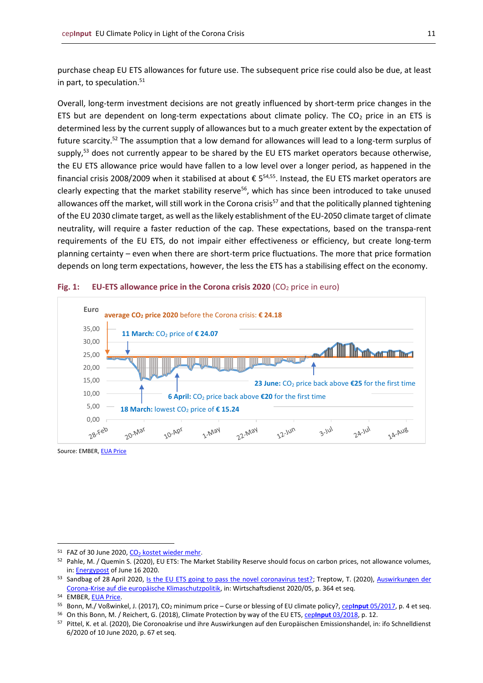purchase cheap EU ETS allowances for future use. The subsequent price rise could also be due, at least in part, to speculation.<sup>51</sup>

Overall, long-term investment decisions are not greatly influenced by short-term price changes in the ETS but are dependent on long-term expectations about climate policy. The  $CO<sub>2</sub>$  price in an ETS is determined less by the current supply of allowances but to a much greater extent by the expectation of future scarcity.<sup>52</sup> The assumption that a low demand for allowances will lead to a long-term surplus of supply,<sup>53</sup> does not currently appear to be shared by the EU ETS market operators because otherwise, the EU ETS allowance price would have fallen to a low level over a longer period, as happened in the financial crisis 2008/2009 when it stabilised at about € 5 54,55 . Instead, the EU ETS market operators are clearly expecting that the market stability reserve<sup>56</sup>, which has since been introduced to take unused allowances off the market, will still work in the Corona crisis<sup>57</sup> and that the politically planned tightening of the EU 2030 climate target, as well as the likely establishment of the EU-2050 climate target of climate neutrality, will require a faster reduction of the cap. These expectations, based on the transpa-rent requirements of the EU ETS, do not impair either effectiveness or efficiency, but create long-term planning certainty – even when there are short-term price fluctuations. The more that price formation depends on long term expectations, however, the less the ETS has a stabilising effect on the economy.





Source: EMBER, [EUA Price](https://ember-climate.org/carbon-price-viewer/)

 $51$  FAZ of 30 June 2020,  $CO<sub>2</sub>$  [kostet wieder mehr.](https://zeitung.faz.net/faz/wirtschaft/2020-06-30/a2efd81dbdc4f4d2e9ad5a92b24e47d9/?GEPC=s5)

<sup>52</sup> Pahle, M. / Quemin S. (2020), EU ETS: The Market Stability Reserve should focus on carbon prices, not allowance volumes, in: **Energypost** of June 16 2020.

<sup>53</sup> Sandbag of 28 April 2020, [Is the EU ETS going to pass the novel coronavirus test?;](https://sandbag.be/index.php/2020/04/28/is-the-eu-ets-going-to-pass-the-novel-coronavirus-test/) Treptow, T. (2020), Auswirkungen der [Corona-Krise auf die europäische Klimaschutzpolitik,](https://link.springer.com/content/pdf/10.1007/s10273-020-2656-9.pdf) in: Wirtschaftsdienst 2020/05, p. 364 et seq.

<sup>54</sup> EMBER, [EUA Price.](https://ember-climate.org/carbon-price-viewer/)

<sup>55</sup> Bonn, M./ Voßwinkel, J. (2017), CO<sup>2</sup> minimum price – Curse or blessing of EU climate policy?, cep**Input** [05/2017,](https://www.cep.eu/en/eu-topics/details/cep/co2-mindestpreis.html) p. 4 et seq.

<sup>56</sup> On this Bonn, M. / Reichert, G. (2018), Climate Protection by way of the EU ETS, cep**Input** [03/2018,](https://www.cep.eu/en/eu-topics/details/cep/climate-protection-by-way-of-the-eu-ets.html) p. 12.

<sup>57</sup> Pittel, K. et al. (2020), Die Coronoakrise und ihre Auswirkungen auf den Europäischen Emissionshandel, in: ifo Schnelldienst 6/2020 of 10 June 2020, p. 67 et seq.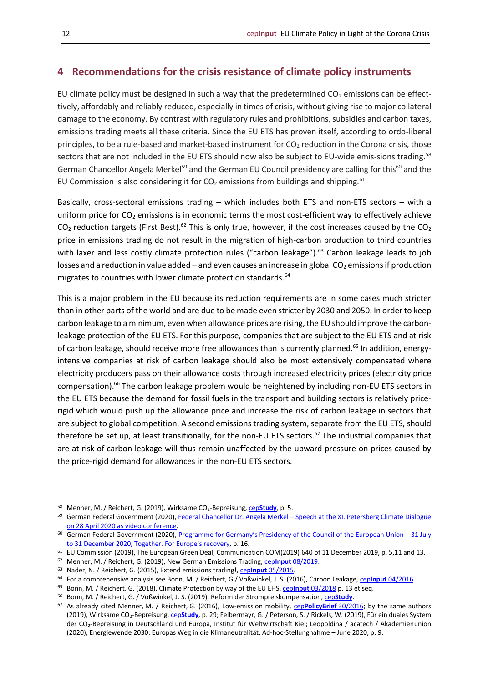#### <span id="page-11-0"></span>**4 Recommendations for the crisis resistance of climate policy instruments**

EU climate policy must be designed in such a way that the predetermined  $CO<sub>2</sub>$  emissions can be effecttively, affordably and reliably reduced, especially in times of crisis, without giving rise to major collateral damage to the economy. By contrast with regulatory rules and prohibitions, subsidies and carbon taxes, emissions trading meets all these criteria. Since the EU ETS has proven itself, according to ordo-liberal principles, to be a rule-based and market-based instrument for CO<sub>2</sub> reduction in the Corona crisis, those sectors that are not included in the EU ETS should now also be subject to EU-wide emis-sions trading.<sup>58</sup> German Chancellor Angela Merkel<sup>59</sup> and the German EU Council presidency are calling for this<sup>60</sup> and the EU Commission is also considering it for  $CO<sub>2</sub>$  emissions from buildings and shipping.<sup>61</sup>

Basically, cross-sectoral emissions trading – which includes both ETS and non-ETS sectors – with a uniform price for  $CO<sub>2</sub>$  emissions is in economic terms the most cost-efficient way to effectively achieve  $CO<sub>2</sub>$  reduction targets (First Best).<sup>62</sup> This is only true, however, if the cost increases caused by the  $CO<sub>2</sub>$ price in emissions trading do not result in the migration of high-carbon production to third countries with laxer and less costly climate protection rules ("carbon leakage").<sup>63</sup> Carbon leakage leads to job losses and a reduction in value added – and even causes an increase in global  $CO<sub>2</sub>$  emissions if production migrates to countries with lower climate protection standards.<sup>64</sup>

This is a major problem in the EU because its reduction requirements are in some cases much stricter than in other parts of the world and are due to be made even stricter by 2030 and 2050. In order to keep carbon leakage to a minimum, even when allowance prices are rising, the EU should improve the carbonleakage protection of the EU ETS. For this purpose, companies that are subject to the EU ETS and at risk of carbon leakage, should receive more free allowances than is currently planned.<sup>65</sup> In addition, energyintensive companies at risk of carbon leakage should also be most extensively compensated where electricity producers pass on their allowance costs through increased electricity prices (electricity price compensation).<sup>66</sup> The carbon leakage problem would be heightened by including non-EU ETS sectors in the EU ETS because the demand for fossil fuels in the transport and building sectors is relatively pricerigid which would push up the allowance price and increase the risk of carbon leakage in sectors that are subject to global competition. A second emissions trading system, separate from the EU ETS, should therefore be set up, at least transitionally, for the non-EU ETS sectors.<sup>67</sup> The industrial companies that are at risk of carbon leakage will thus remain unaffected by the upward pressure on prices caused by the price-rigid demand for allowances in the non-EU ETS sectors.

<sup>58</sup> Menner, M. / Reichert, G. (2019), Wirksame CO<sub>2</sub>-Bepreisung, cep[Study](https://www.cep.eu/en/eu-topics/details/cep/wirksame-co2-bepreisung-jetzt-die-weichen-richtig-stellen.html), p. 5.

<sup>59</sup> German Federal Government (2020)[, Federal Chancellor Dr. Angela Merkel](https://www.bundesregierung.de/breg-de/service/bulletin/rede-von-bundeskanzlerin-dr-angela-merkel-1749330) – Speech at the XI. Petersberg Climate Dialogue on 28 [April 2020 as video conference.](https://www.bundesregierung.de/breg-de/service/bulletin/rede-von-bundeskanzlerin-dr-angela-merkel-1749330)

<sup>&</sup>lt;sup>60</sup> German Federal Government (2020), [Programme for Germany's Presidency of the Council of the European Union –](https://www.eu2020.de/eu2020-en/programm) 31 July to 31 [December 2020, Together.](https://www.eu2020.de/eu2020-en/programm) [For Europe's recovery](https://www.eu2020.de/eu2020-en/programm), p. 16.

<sup>61</sup> EU Commission (2019), The European Green Deal, Communication COM(2019) 640 of 11 December 2019, p. 5,11 and 13.

<sup>62</sup> Menner, M. / Reichert, G. (2019), New German Emissions Trading, cep**Input** [08/2019.](https://www.cep.eu/en/eu-topics/details/cep/der-neue-deutsche-emissionshandel.html)

<sup>63</sup> Nader, N. / Reichert, G. (2015), Extend emissions trading!, cep**Input** [05/2015.](https://www.cep.eu/en/eu-topics/details/cep/erweitert-den-emissionshandel.html)

<sup>64</sup> For a comprehensive analysis see Bonn, M. / Reichert, G / Voßwinkel, J. S. (2016), Carbon Leakage, cep**Input** [04/2016.](https://www.cep.eu/en/eu-topics/details/cep/carbon-leakage.html)

<sup>65</sup> Bonn, M. / Reichert, G. (2018), Climate Protection by way of the EU EHS, cep**Input** [03/2018](https://www.cep.eu/en/eu-topics/details/cep/climate-protection-by-way-of-the-eu-ets.html) p. 13 et seq.

<sup>66</sup> Bonn, M. / Reichert, G. / Voßwinkel, J. S. (2019), Reform der Strompreiskompensation, cep**[Study](https://www.cep.eu/en/eu-topics/details/cep/reform-der-strompreiskompensation.html)**.

<sup>67</sup> As already cited Menner, M. / Reichert, G. (2016), Low-emission mobility, cep**[PolicyBrief](https://www.cep.eu/en/eu-topics/details/cep/low-emission-mobility-communication.html)** 30/2016; by the same authors (2019), Wirksame CO2-Bepreisung, cep**[Study](https://www.cep.eu/en/eu-topics/details/cep/wirksame-co2-bepreisung-jetzt-die-weichen-richtig-stellen.html)**, p. 29; Felbermayr, G. / Peterson, S. / Rickels, W. (2019), Für ein duales System der CO<sub>2</sub>-Bepreisung in Deutschland und Europa, Institut für Weltwirtschaft Kiel; Leopoldina / acatech / Akademienunion (2020), Energiewende 2030: Europas Weg in die Klimaneutralität, Ad-hoc-Stellungnahme – June 2020, p. 9.